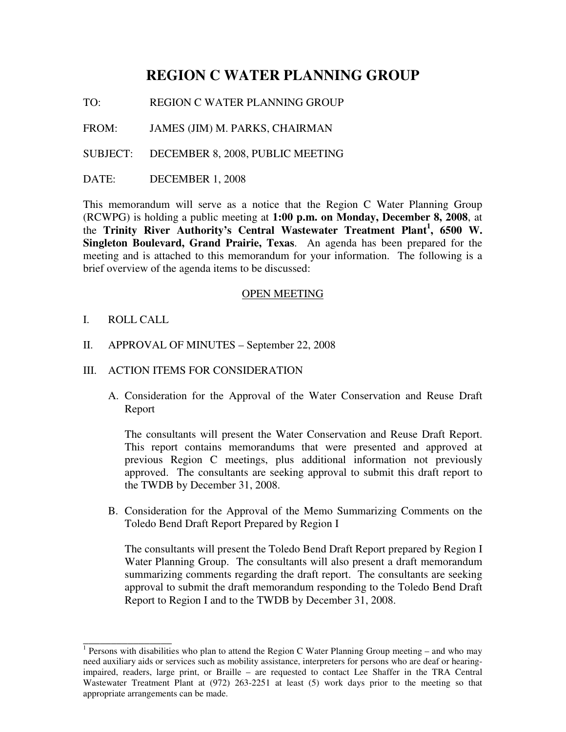# **REGION C WATER PLANNING GROUP**

TO: REGION C WATER PLANNING GROUP

FROM: JAMES (JIM) M. PARKS, CHAIRMAN

SUBJECT: DECEMBER 8, 2008, PUBLIC MEETING

DATE: DECEMBER 1, 2008

This memorandum will serve as a notice that the Region C Water Planning Group (RCWPG) is holding a public meeting at **1:00 p.m. on Monday, December 8, 2008**, at the **Trinity River Authority's Central Wastewater Treatment Plant<sup>1</sup> , 6500 W. Singleton Boulevard, Grand Prairie, Texas**. An agenda has been prepared for the meeting and is attached to this memorandum for your information. The following is a brief overview of the agenda items to be discussed:

### OPEN MEETING

I. ROLL CALL

\_\_\_\_\_\_\_\_\_\_\_\_\_\_\_\_

- II. APPROVAL OF MINUTES September 22, 2008
- III. ACTION ITEMS FOR CONSIDERATION
	- A. Consideration for the Approval of the Water Conservation and Reuse Draft Report

The consultants will present the Water Conservation and Reuse Draft Report. This report contains memorandums that were presented and approved at previous Region C meetings, plus additional information not previously approved. The consultants are seeking approval to submit this draft report to the TWDB by December 31, 2008.

B. Consideration for the Approval of the Memo Summarizing Comments on the Toledo Bend Draft Report Prepared by Region I

The consultants will present the Toledo Bend Draft Report prepared by Region I Water Planning Group. The consultants will also present a draft memorandum summarizing comments regarding the draft report. The consultants are seeking approval to submit the draft memorandum responding to the Toledo Bend Draft Report to Region I and to the TWDB by December 31, 2008.

<sup>&</sup>lt;sup>1</sup> Persons with disabilities who plan to attend the Region C Water Planning Group meeting – and who may need auxiliary aids or services such as mobility assistance, interpreters for persons who are deaf or hearingimpaired, readers, large print, or Braille – are requested to contact Lee Shaffer in the TRA Central Wastewater Treatment Plant at (972) 263-2251 at least (5) work days prior to the meeting so that appropriate arrangements can be made.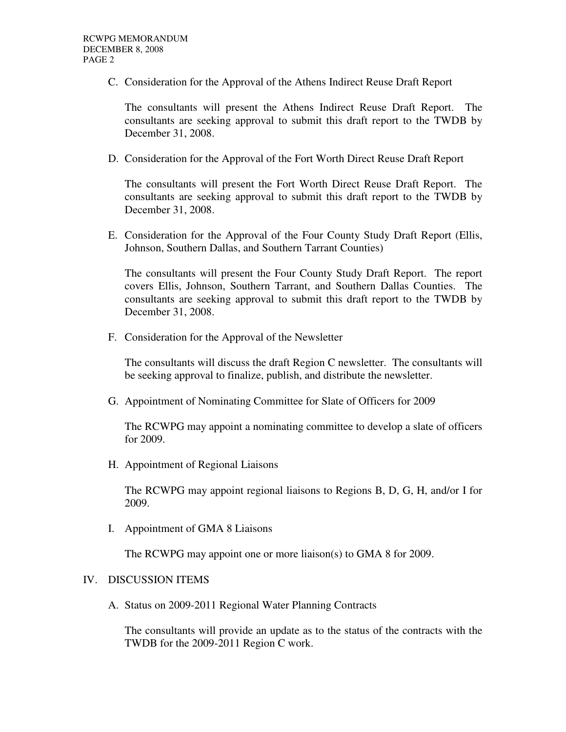C. Consideration for the Approval of the Athens Indirect Reuse Draft Report

The consultants will present the Athens Indirect Reuse Draft Report. The consultants are seeking approval to submit this draft report to the TWDB by December 31, 2008.

D. Consideration for the Approval of the Fort Worth Direct Reuse Draft Report

The consultants will present the Fort Worth Direct Reuse Draft Report. The consultants are seeking approval to submit this draft report to the TWDB by December 31, 2008.

E. Consideration for the Approval of the Four County Study Draft Report (Ellis, Johnson, Southern Dallas, and Southern Tarrant Counties)

The consultants will present the Four County Study Draft Report. The report covers Ellis, Johnson, Southern Tarrant, and Southern Dallas Counties. The consultants are seeking approval to submit this draft report to the TWDB by December 31, 2008.

F. Consideration for the Approval of the Newsletter

The consultants will discuss the draft Region C newsletter. The consultants will be seeking approval to finalize, publish, and distribute the newsletter.

G. Appointment of Nominating Committee for Slate of Officers for 2009

The RCWPG may appoint a nominating committee to develop a slate of officers for 2009.

H. Appointment of Regional Liaisons

The RCWPG may appoint regional liaisons to Regions B, D, G, H, and/or I for 2009.

I. Appointment of GMA 8 Liaisons

The RCWPG may appoint one or more liaison(s) to GMA 8 for 2009.

## IV. DISCUSSION ITEMS

A. Status on 2009-2011 Regional Water Planning Contracts

The consultants will provide an update as to the status of the contracts with the TWDB for the 2009-2011 Region C work.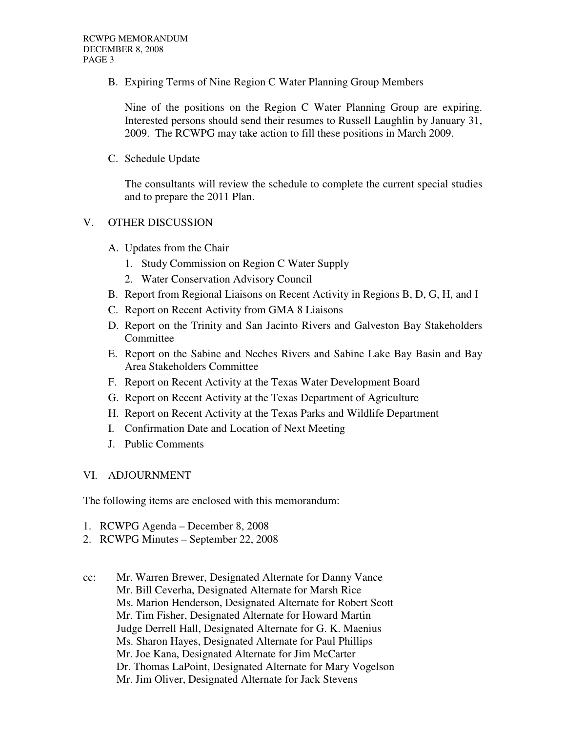B. Expiring Terms of Nine Region C Water Planning Group Members

Nine of the positions on the Region C Water Planning Group are expiring. Interested persons should send their resumes to Russell Laughlin by January 31, 2009. The RCWPG may take action to fill these positions in March 2009.

C. Schedule Update

The consultants will review the schedule to complete the current special studies and to prepare the 2011 Plan.

## V. OTHER DISCUSSION

- A. Updates from the Chair
	- 1. Study Commission on Region C Water Supply
	- 2. Water Conservation Advisory Council
- B. Report from Regional Liaisons on Recent Activity in Regions B, D, G, H, and I
- C. Report on Recent Activity from GMA 8 Liaisons
- D. Report on the Trinity and San Jacinto Rivers and Galveston Bay Stakeholders Committee
- E. Report on the Sabine and Neches Rivers and Sabine Lake Bay Basin and Bay Area Stakeholders Committee
- F. Report on Recent Activity at the Texas Water Development Board
- G. Report on Recent Activity at the Texas Department of Agriculture
- H. Report on Recent Activity at the Texas Parks and Wildlife Department
- I. Confirmation Date and Location of Next Meeting
- J. Public Comments

### VI. ADJOURNMENT

The following items are enclosed with this memorandum:

- 1. RCWPG Agenda December 8, 2008
- 2. RCWPG Minutes September 22, 2008
- cc: Mr. Warren Brewer, Designated Alternate for Danny Vance Mr. Bill Ceverha, Designated Alternate for Marsh Rice Ms. Marion Henderson, Designated Alternate for Robert Scott Mr. Tim Fisher, Designated Alternate for Howard Martin Judge Derrell Hall, Designated Alternate for G. K. Maenius Ms. Sharon Hayes, Designated Alternate for Paul Phillips Mr. Joe Kana, Designated Alternate for Jim McCarter Dr. Thomas LaPoint, Designated Alternate for Mary Vogelson Mr. Jim Oliver, Designated Alternate for Jack Stevens